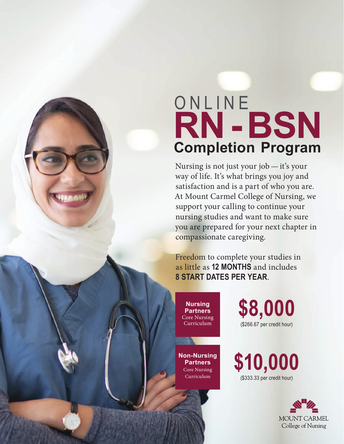## **Completion Program RN-BSN**  ONLINE

Nursing is not just your job—it's your way of life. It's what brings you joy and satisfaction and is a part of who you are. At Mount Carmel College of Nursing, we support your calling to continue your nursing studies and want to make sure you are prepared for your next chapter in compassionate caregiving.

Freedom to complete your studies in as little as **12 MONTHS** and includes **8 START DATES PER YEAR**.

**Nursing Partners** Core Nursing Curriculum

**Non-Nursing Partners**  Core Nursing Curriculum

**\$8,000** (\$266.67 per credit hour)

**\$10,000** (\$333.33 per credit hour)